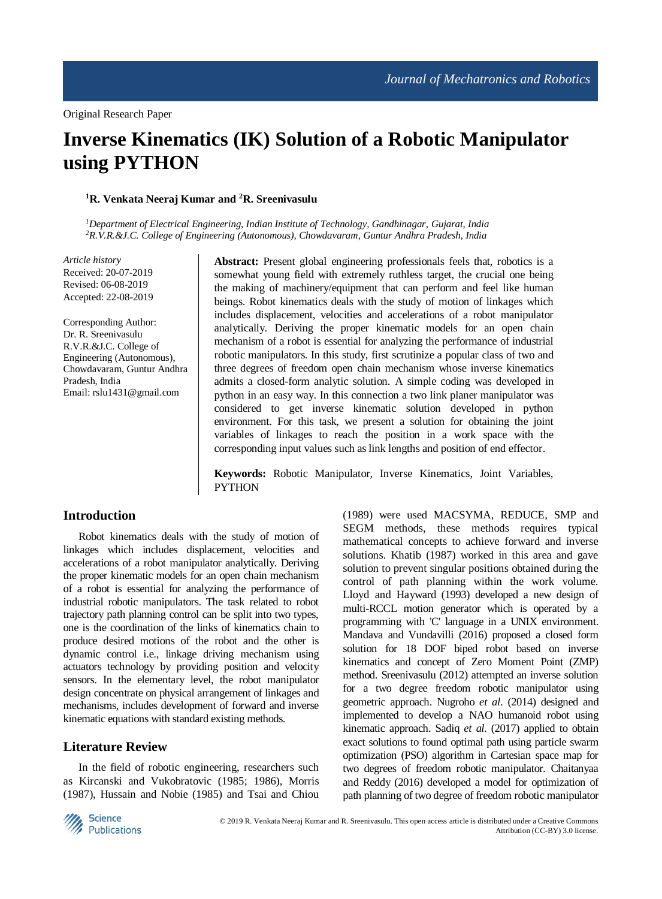# **Inverse Kinematics (IK) Solution of a Robotic Manipulator using PYTHON**

#### **<sup>1</sup>R. Venkata Neeraj Kumar and <sup>2</sup>R. Sreenivasulu**

*<sup>1</sup>Department of Electrical Engineering, Indian Institute of Technology, Gandhinagar, Gujarat, India <sup>2</sup>R.V.R.&J.C. College of Engineering (Autonomous), Chowdavaram, Guntur Andhra Pradesh, India*

*Article history* Received: 20-07-2019 Revised: 06-08-2019 Accepted: 22-08-2019

Corresponding Author: Dr. R. Sreenivasulu R.V.R.&J.C. College of Engineering (Autonomous), Chowdavaram, Guntur Andhra Pradesh, India Email: rslu1431@gmail.com

**Abstract:** Present global engineering professionals feels that, robotics is a somewhat young field with extremely ruthless target, the crucial one being the making of machinery/equipment that can perform and feel like human beings. Robot kinematics deals with the study of motion of linkages which includes displacement, velocities and accelerations of a robot manipulator analytically. Deriving the proper kinematic models for an open chain mechanism of a robot is essential for analyzing the performance of industrial robotic manipulators. In this study, first scrutinize a popular class of two and three degrees of freedom open chain mechanism whose inverse kinematics admits a closed-form analytic solution. A simple coding was developed in python in an easy way. In this connection a two link planer manipulator was considered to get inverse kinematic solution developed in python environment. For this task, we present a solution for obtaining the joint variables of linkages to reach the position in a work space with the corresponding input values such as link lengths and position of end effector.

**Keywords:** Robotic Manipulator, Inverse Kinematics, Joint Variables, **PYTHON** 

## **Introduction**

Robot kinematics deals with the study of motion of linkages which includes displacement, velocities and accelerations of a robot manipulator analytically. Deriving the proper kinematic models for an open chain mechanism of a robot is essential for analyzing the performance of industrial robotic manipulators. The task related to robot trajectory path planning control can be split into two types, one is the coordination of the links of kinematics chain to produce desired motions of the robot and the other is dynamic control i.e., linkage driving mechanism using actuators technology by providing position and velocity sensors. In the elementary level, the robot manipulator design concentrate on physical arrangement of linkages and mechanisms, includes development of forward and inverse kinematic equations with standard existing methods.

## **Literature Review**

In the field of robotic engineering, researchers such as Kircanski and Vukobratovic (1985; 1986), Morris (1987), Hussain and Nobie (1985) and Tsai and Chiou

(1989) were used MACSYMA, REDUCE, SMP and SEGM methods, these methods requires typical mathematical concepts to achieve forward and inverse solutions. Khatib (1987) worked in this area and gave solution to prevent singular positions obtained during the control of path planning within the work volume. Lloyd and Hayward (1993) developed a new design of multi-RCCL motion generator which is operated by a programming with 'C' language in a UNIX environment. Mandava and Vundavilli (2016) proposed a closed form solution for 18 DOF biped robot based on inverse kinematics and concept of Zero Moment Point (ZMP) method. Sreenivasulu (2012) attempted an inverse solution for a two degree freedom robotic manipulator using geometric approach. Nugroho *et al*. (2014) designed and implemented to develop a NAO humanoid robot using kinematic approach. Sadiq *et al*. (2017) applied to obtain exact solutions to found optimal path using particle swarm optimization (PSO) algorithm in Cartesian space map for two degrees of freedom robotic manipulator. Chaitanyaa and Reddy (2016) developed a model for optimization of path planning of two degree of freedom robotic manipulator

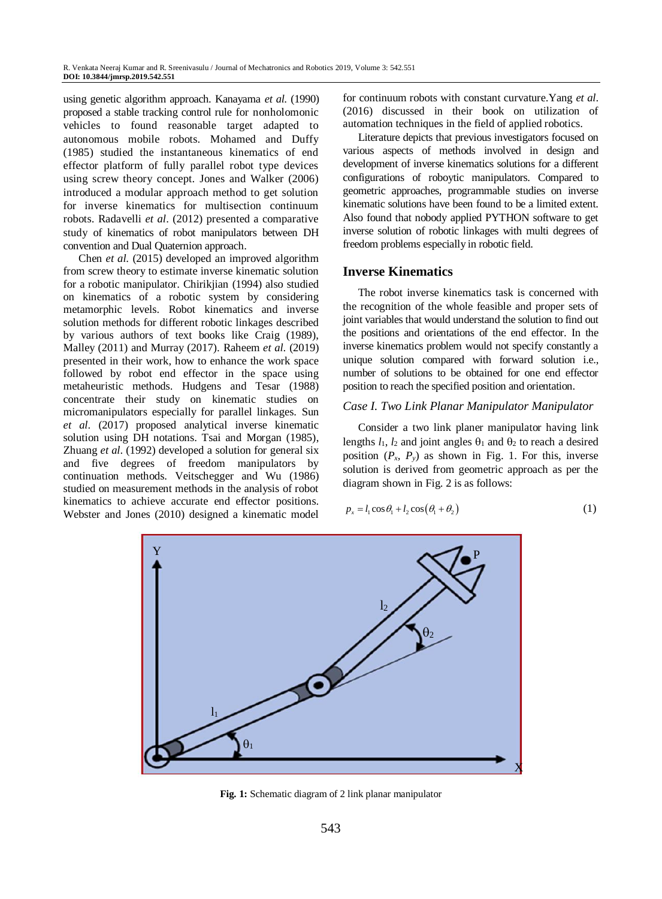using genetic algorithm approach. Kanayama *et al*. (1990) proposed a stable tracking control rule for nonholomonic vehicles to found reasonable target adapted to autonomous mobile robots. Mohamed and Duffy (1985) studied the instantaneous kinematics of end effector platform of fully parallel robot type devices using screw theory concept. Jones and Walker (2006) introduced a modular approach method to get solution for inverse kinematics for multisection continuum robots. Radavelli *et al*. (2012) presented a comparative study of kinematics of robot manipulators between DH convention and Dual Quaternion approach.

Chen *et al*. (2015) developed an improved algorithm from screw theory to estimate inverse kinematic solution for a robotic manipulator. Chirikjian (1994) also studied on kinematics of a robotic system by considering metamorphic levels. Robot kinematics and inverse solution methods for different robotic linkages described by various authors of text books like Craig (1989), Malley (2011) and Murray (2017). Raheem *et al*. (2019) presented in their work, how to enhance the work space followed by robot end effector in the space using metaheuristic methods. Hudgens and Tesar (1988) concentrate their study on kinematic studies on micromanipulators especially for parallel linkages. Sun *et al*. (2017) proposed analytical inverse kinematic solution using DH notations. Tsai and Morgan (1985), Zhuang *et al*. (1992) developed a solution for general six and five degrees of freedom manipulators by continuation methods. Veitschegger and Wu (1986) studied on measurement methods in the analysis of robot kinematics to achieve accurate end effector positions. Webster and Jones (2010) designed a kinematic model

for continuum robots with constant curvature.Yang *et al*. (2016) discussed in their book on utilization of automation techniques in the field of applied robotics.

Literature depicts that previous investigators focused on various aspects of methods involved in design and development of inverse kinematics solutions for a different configurations of roboytic manipulators. Compared to geometric approaches, programmable studies on inverse kinematic solutions have been found to be a limited extent. Also found that nobody applied PYTHON software to get inverse solution of robotic linkages with multi degrees of freedom problems especially in robotic field.

## **Inverse Kinematics**

The robot inverse kinematics task is concerned with the recognition of the whole feasible and proper sets of joint variables that would understand the solution to find out the positions and orientations of the end effector. In the inverse kinematics problem would not specify constantly a unique solution compared with forward solution i.e., number of solutions to be obtained for one end effector position to reach the specified position and orientation.

## *Case I. Two Link Planar Manipulator Manipulator*

Consider a two link planer manipulator having link lengths  $l_1$ ,  $l_2$  and joint angles  $\theta_1$  and  $\theta_2$  to reach a desired position  $(P_x, P_y)$  as shown in Fig. 1. For this, inverse solution is derived from geometric approach as per the diagram shown in Fig. 2 is as follows:

$$
p_x = l_1 \cos \theta_1 + l_2 \cos (\theta_1 + \theta_2)
$$
 (1)



**Fig. 1:** Schematic diagram of 2 link planar manipulator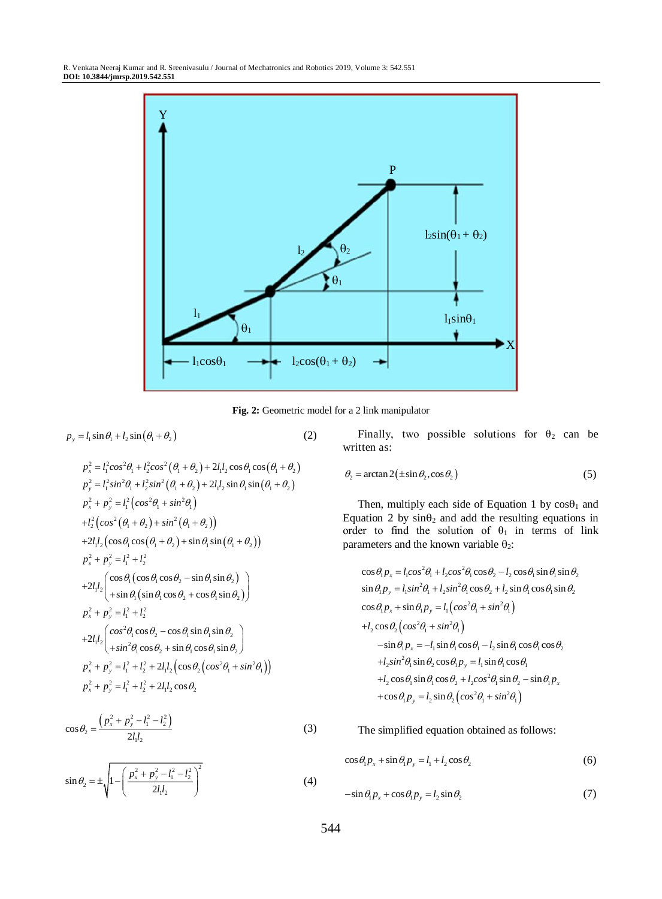

**Fig. 2:** Geometric model for a 2 link manipulator

(2)

$$
p_y = l_1 \sin \theta_1 + l_2 \sin (\theta_1 + \theta_2)
$$

 $p_x^2 + p_y^2 = l_1^2 \left( \cos^2 \theta_1 + \sin^2 \theta_1 \right)$  $+ l_2^2 \Big( cos^2 (\theta_1 + \theta_2) + sin^2 (\theta_1 + \theta_2) \Big)$ 

 $p_x^2 + p_y^2 = l_1^2 + l_2^2$ 

 $|l_2|$ <sup> $\cos \theta_1$ </sup>

 $l_x^2 + p_y^2 = l_1^2 + l_2^2$ 

 $+ p^2 = l^2 +$ 

 $p_x^2 + p_y^2 = l_1^2 + l_2^2$ 

 $\left| l_{\alpha} \right|^{cos}$ *sin*

Finally, two possible solutions for 
$$
\theta_2
$$
 can be written as:

$$
\theta_2 = \arctan 2(\pm \sin \theta_2, \cos \theta_2) \tag{5}
$$

Then, multiply each side of Equation 1 by  $\cos\theta_1$  and Equation 2 by  $sin\theta_2$  and add the resulting equations in order to find the solution of  $\theta_1$  in terms of link parameters and the known variable  $\theta_2$ :

$$
\cos \theta_1 p_x = l_1 \cos^2 \theta_1 + l_2 \cos^2 \theta_1 \cos \theta_2 - l_2 \cos \theta_1 \sin \theta_1 \sin \theta_2
$$
  
\n
$$
\sin \theta_1 p_y = l_1 \sin^2 \theta_1 + l_2 \sin^2 \theta_1 \cos \theta_2 + l_2 \sin \theta_1 \cos \theta_1 \sin \theta_2
$$
  
\n
$$
\cos \theta_1 p_x + \sin \theta_1 p_y = l_1 \left( \cos^2 \theta_1 + \sin^2 \theta_1 \right)
$$
  
\n
$$
+ l_2 \cos \theta_2 \left( \cos^2 \theta_1 + \sin^2 \theta_1 \right)
$$
  
\n
$$
- \sin \theta_1 p_x = -l_1 \sin \theta_1 \cos \theta_1 - l_2 \sin \theta_1 \cos \theta_1 \cos \theta_2
$$
  
\n
$$
+ l_2 \sin^2 \theta_1 \sin \theta_2 \cos \theta_1 p_y = l_1 \sin \theta_1 \cos \theta_1
$$
  
\n
$$
+ l_2 \cos \theta_1 \sin \theta_1 \cos \theta_2 + l_2 \cos^2 \theta_1 \sin \theta_2 - \sin \theta_1 p_x
$$
  
\n
$$
+ \cos \theta_1 p_y = l_2 \sin \theta_2 \left( \cos^2 \theta_1 + \sin^2 \theta_1 \right)
$$

The simplified equation obtained as follows:

$$
\cos\theta_1 p_x + \sin\theta_1 p_y = l_1 + l_2 \cos\theta_2 \tag{6}
$$

$$
-\sin\theta_1 p_x + \cos\theta_1 p_y = l_2 \sin\theta_2 \tag{7}
$$

$$
p_x^2 + p_y^2 = l_1^2 + l_2^2 + 2l_1l_2 \cos\theta_2
$$

$$
\cos\theta_2 = \frac{\left(p_x^2 + p_y^2 - l_1^2 - l_2^2\right)}{2l_1l_2}
$$

 $p_x^2 + p_y^2 = l_1^2 + l_2^2 + 2l_1l_2 \left( \cos \theta_2 \left( \cos^2 \theta_1 + \sin^2 \theta_1 \right) \right)$ 

 $\theta$ , cos  $\theta_2$  – cos  $\theta$ , sin  $\theta$ , sin  $\theta$  $\theta$ , cos  $\theta_2$  + sin  $\theta$ , cos  $\theta$ , sin  $\theta$ .

 $p_x^2 = l_1^2 \cos^2 \theta_1 + l_2^2 \cos^2 (\theta_1 + \theta_2) + 2l_1l_2 \cos \theta_1 \cos (\theta_1 + \theta_2)$  $p_y^2 = l_1^2 sin^2\theta_1 + l_2^2 sin^2(\theta_1 + \theta_2) + 2l_1l_2 sin\theta_1 sin(\theta_1 + \theta_2)$ 

 $\left(\sin\theta_1\cos\theta_2+\cos\theta_1\sin\theta_2\right)$ 

 $\theta$  (sin  $\theta$ , cos  $\theta_2$  + cos  $\theta_3$ , sin  $\theta_4$ 

 $1 \, {\rm e}^{\rm 2}$   ${\rm e}^{\rm 2}$   ${\rm e}^{\rm 2}$   ${\rm e}^{\rm 1}$   ${\rm e}^{\rm 1}$   ${\rm e}^{\rm 2}$  $_1$  (sin  $v_1$  cos  $v_2$  + cos  $v_1$  sin  $v_2$ 

 $\theta_{\rm s}$  – sin  $\theta_{\rm s}$  sin  $\theta_{\rm s}$ 

 $\cos \theta_s - \sin \theta_s \sin$ 

 $+2l_1l_2(\cos\theta_1\cos(\theta_1+\theta_2)+\sin\theta_1\sin(\theta_1+\theta_2))$ 

 $\sin \theta$  (sin  $\theta$ , cos  $\theta_2$  + cos  $\theta_3$  sin

 $\left(\cos\theta_1(\cos\theta_1\cos\theta_2-\sin\theta_1\sin\theta_2)\right)$  $\left(+\sin\theta_1\left(\sin\theta_1\cos\theta_2+\cos\theta_1\sin\theta_2\right)\right)$ 

 $+2lL\left(\cos\theta_1(\cos\theta_1\cos\theta_2-\sin\theta_1\sin\theta_2)\right)$ 

 $l_1 l_2 \begin{pmatrix} cos^2\theta_1 cos\theta_2 - cos\theta_1 sin\theta_1 sin\theta_2 \\ +sin^2\theta_1 cos\theta_2 + sin\theta_1 cos\theta_1 sin\theta_2 \end{pmatrix}$ 

 $+2l_1l_2 \left( \cos^2 \theta_1 \cos \theta_2 - \cos \theta_1 \sin \theta_1 \sin \theta_2 \right)$  $\left( +\sin^2\theta_1\cos\theta_2 + \sin\theta_1\cos\theta_1\sin\theta_2 \right)$ 

 $2l_1l_2 \begin{pmatrix} \cos^2\theta_1\cos\theta_2-\cos\theta_1\sin\theta_1\sin\theta_1\\+\sin^2\theta_1\cos\theta_2+\sin\theta_1\cos\theta_1\sin\theta_1\end{pmatrix}$ 

$$
\sin \theta_2 = \pm \sqrt{1 - \left(\frac{p_x^2 + p_y^2 - l_1^2 - l_2^2}{2l_1l_2}\right)^2}
$$
 (4)

(3)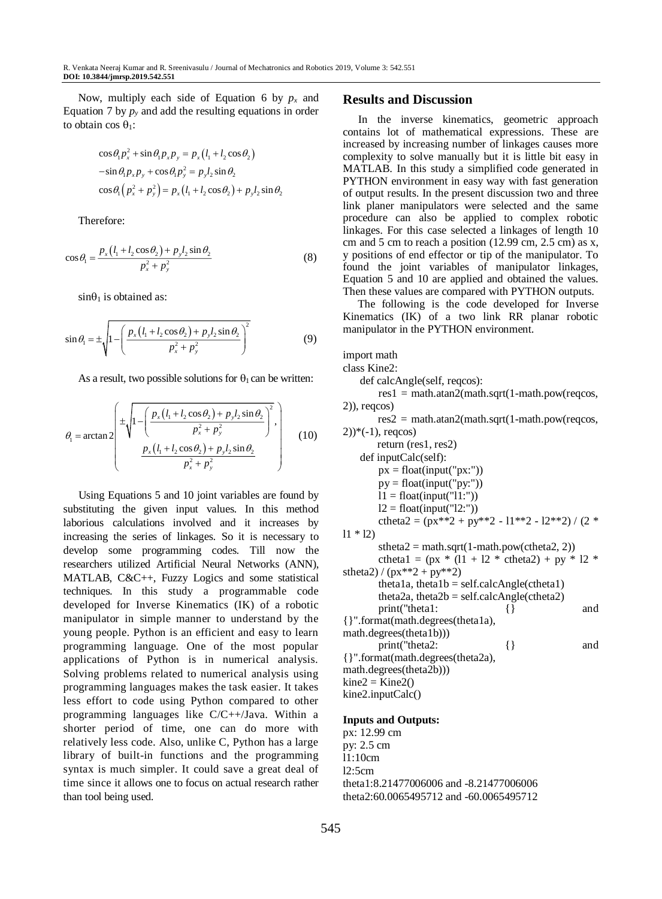Now, multiply each side of Equation 6 by  $p<sub>x</sub>$  and Equation 7 by  $p_y$  and add the resulting equations in order to obtain cos  $\theta_1$ :

$$
\cos \theta_1 p_x^2 + \sin \theta_1 p_x p_y = p_x (l_1 + l_2 \cos \theta_2)
$$
  

$$
-\sin \theta_1 p_x p_y + \cos \theta_1 p_y^2 = p_y l_2 \sin \theta_2
$$
  

$$
\cos \theta_1 (p_x^2 + p_y^2) = p_x (l_1 + l_2 \cos \theta_2) + p_y l_2 \sin \theta_2
$$

Therefore:

$$
\cos \theta_1 = \frac{p_x (l_1 + l_2 \cos \theta_2) + p_y l_2 \sin \theta_2}{p_x^2 + p_y^2}
$$
 (8)

 $sin\theta_1$  is obtained as:

$$
\sin \theta_1 = \pm \sqrt{1 - \left( \frac{p_x (l_1 + l_2 \cos \theta_2) + p_y l_2 \sin \theta_2}{p_x^2 + p_y^2} \right)^2}
$$
(9)

As a result, two possible solutions for  $\theta_1$  can be written:

$$
\theta_{1} = \arctan 2 \begin{bmatrix} \pm \sqrt{1 - \left( \frac{p_{x}(l_{1} + l_{2} \cos \theta_{2}) + p_{y} l_{2} \sin \theta_{2}}{p_{x}^{2} + p_{y}^{2}} \right)^{2}}, \\ \frac{p_{x}(l_{1} + l_{2} \cos \theta_{2}) + p_{y} l_{2} \sin \theta_{2}}{p_{x}^{2} + p_{y}^{2}} \end{bmatrix},
$$
(10)

Using Equations 5 and 10 joint variables are found by substituting the given input values. In this method laborious calculations involved and it increases by increasing the series of linkages. So it is necessary to develop some programming codes. Till now the researchers utilized Artificial Neural Networks (ANN), MATLAB, C&C++, Fuzzy Logics and some statistical techniques. In this study a programmable code developed for Inverse Kinematics (IK) of a robotic manipulator in simple manner to understand by the young people. Python is an efficient and easy to learn programming language. One of the most popular applications of Python is in numerical analysis. Solving problems related to numerical analysis using programming languages makes the task easier. It takes less effort to code using Python compared to other programming languages like C/C++/Java. Within a shorter period of time, one can do more with relatively less code. Also, unlike C, Python has a large library of built-in functions and the programming syntax is much simpler. It could save a great deal of time since it allows one to focus on actual research rather than tool being used.

#### **Results and Discussion**

In the inverse kinematics, geometric approach contains lot of mathematical expressions. These are increased by increasing number of linkages causes more complexity to solve manually but it is little bit easy in MATLAB. In this study a simplified code generated in PYTHON environment in easy way with fast generation of output results. In the present discussion two and three link planer manipulators were selected and the same procedure can also be applied to complex robotic linkages. For this case selected a linkages of length 10 cm and 5 cm to reach a position  $(12.99 \text{ cm}, 2.5 \text{ cm})$  as x, y positions of end effector or tip of the manipulator. To found the joint variables of manipulator linkages, Equation 5 and 10 are applied and obtained the values. Then these values are compared with PYTHON outputs.

The following is the code developed for Inverse Kinematics (IK) of a two link RR planar robotic manipulator in the PYTHON environment.

import math

class Kine2:

def calcAngle(self, reqcos):

 $res1 = math.atan2(math.sqrt(1-math.pow(reqcos,$ 2)), reqcos)

res2 = math.atan2(math.sqrt(1-math.pow(reqcos,  $(2)$ <sup>\*</sup> $(-1)$ , regcos)

return (res1, res2) def inputCalc(self): px = float(input("px:")) py = float(input("py:")) l1 = float(input("l1:")) l2 = float(input("l2:")) ctheta2 = (px\*\*2 + py\*\*2 - l1\*\*2 - l2\*\*2) / (2 \* l1 \* l2) stheta2 = math.sqrt(1-math.pow(ctheta2, 2)) ctheta1 = (px \* (l1 + l2 \* ctheta2) + py \* l2 \* stheta2) / (px\*\*2 + py\*\*2) theta1a, theta1b = self.calcAngle(ctheta1) theta2a, theta2b = self.calcAngle(ctheta2) print("theta1: {} and {}".format(math.degrees(theta1a), math.degrees(theta1b))) print("theta2: {} and {}".format(math.degrees(theta2a), math.degrees(theta2b))) kine2 = Kine2() kine2.inputCalc()

#### **Inputs and Outputs:**

px: 12.99 cm py: 2.5 cm l1:10cm l2:5cm theta1:8.21477006006 and -8.21477006006 theta2:60.0065495712 and -60.0065495712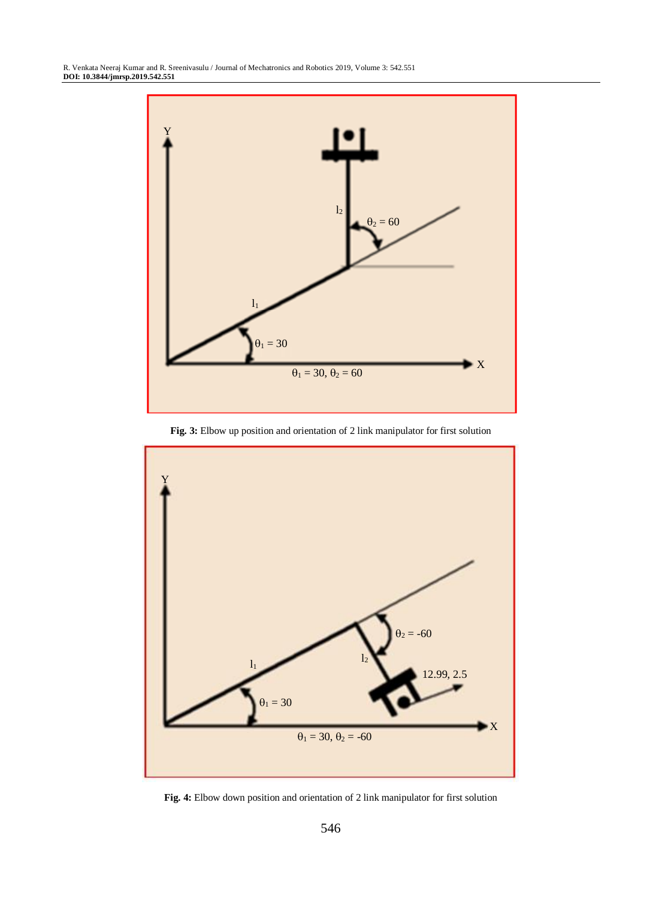

**Fig. 3:** Elbow up position and orientation of 2 link manipulator for first solution



**Fig. 4:** Elbow down position and orientation of 2 link manipulator for first solution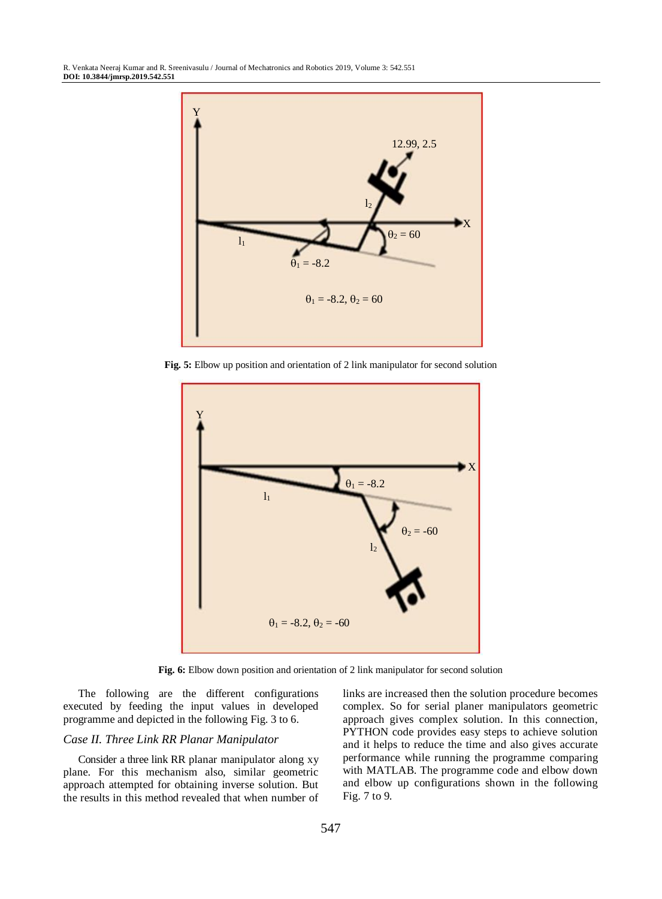

**Fig. 5:** Elbow up position and orientation of 2 link manipulator for second solution



**Fig. 6:** Elbow down position and orientation of 2 link manipulator for second solution

The following are the different configurations executed by feeding the input values in developed programme and depicted in the following Fig. 3 to 6.

#### *Case II. Three Link RR Planar Manipulator*

Consider a three link RR planar manipulator along xy plane. For this mechanism also, similar geometric approach attempted for obtaining inverse solution. But the results in this method revealed that when number of links are increased then the solution procedure becomes complex. So for serial planer manipulators geometric approach gives complex solution. In this connection, PYTHON code provides easy steps to achieve solution and it helps to reduce the time and also gives accurate performance while running the programme comparing with MATLAB. The programme code and elbow down and elbow up configurations shown in the following Fig. 7 to 9.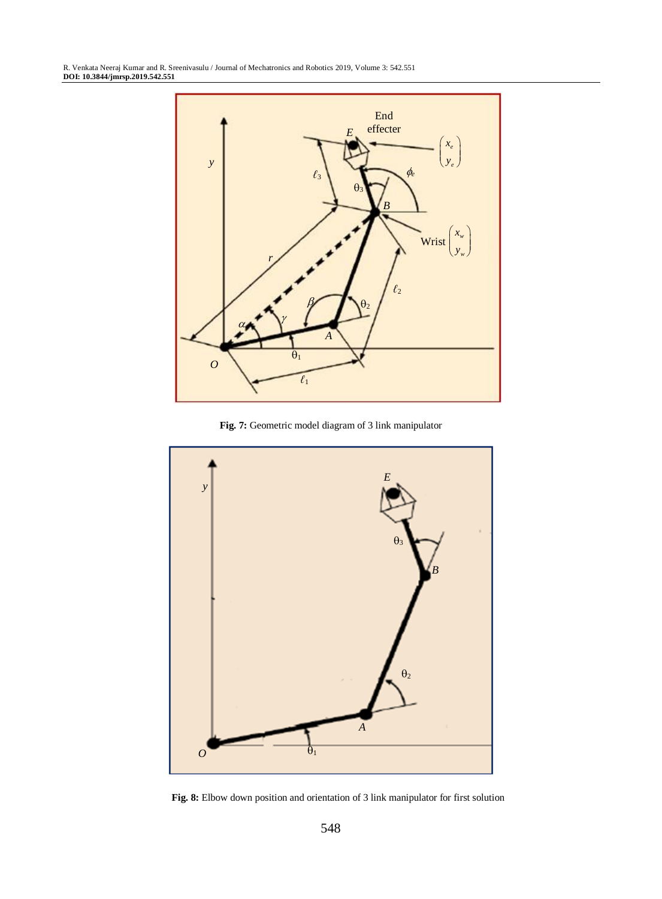

**Fig. 7:** Geometric model diagram of 3 link manipulator

![](_page_6_Figure_3.jpeg)

**Fig. 8:** Elbow down position and orientation of 3 link manipulator for first solution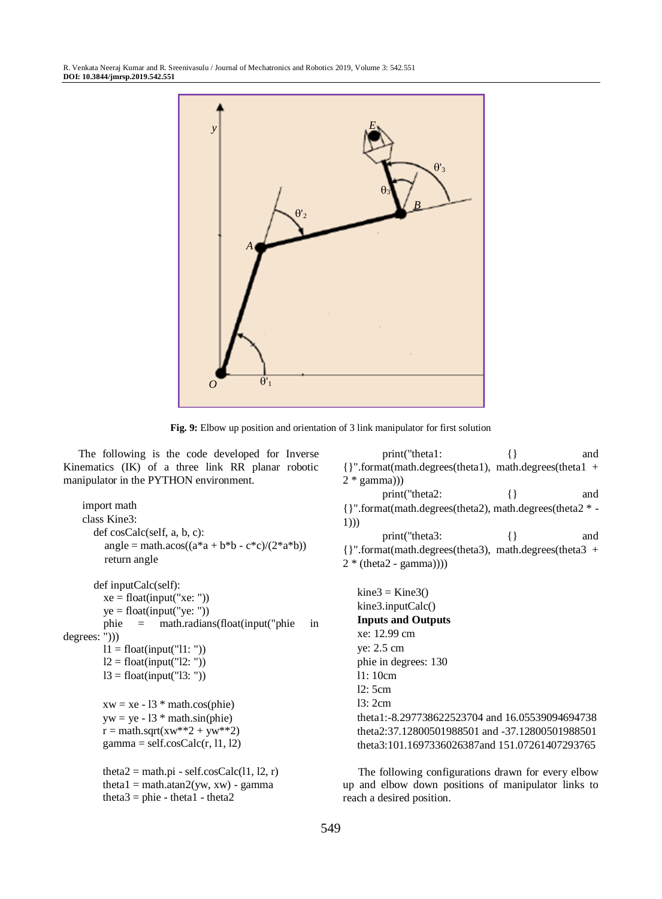![](_page_7_Figure_1.jpeg)

**Fig. 9:** Elbow up position and orientation of 3 link manipulator for first solution

The following is the code developed for Inverse Kinematics (IK) of a three link RR planar robotic manipulator in the PYTHON environment.

import math class Kine3: def cosCalc(self, a, b, c):  $angle = math.acos((a * a + b * b - c * c)/(2 * a * b))$ return angle def inputCalc(self):  $xe = float(input("xe:"))$ ye = float(input("ye: ")) phie = math.radians(float(input("phie in degrees: ")))  $11 =$  float(input("11: "))  $l2 = float(input("l2: "))$  $13 =$  float(input("13: "))  $xw = xe - 13$  \* math.cos(phie)  $vw = ve - 13 * math.sin(phie)$  $r = \text{math.sqrt}(xw^{**}2 + yw^{**}2)$  $gamma = self.coSCalc(r, 11, 12)$ theta $2 = \text{math.pi - self.coSCalc}(11, 12, r)$ 

theta1 = math.atan2(yw, xw) - gamma

theta $3$  = phie - theta $1$  - theta $2$ 

{}".format(math.degrees(theta1), math.degrees(theta1 +  $2 * gamma))$ print("theta2:  $\{ \}$  and {}".format(math.degrees(theta2), math.degrees(theta2 \* - 1))) print("theta3: {} and {}".format(math.degrees(theta3), math.degrees(theta3 +  $2 * (theta2 - gamma))$  $kine3 = Kine3()$ kine3.inputCalc() **Inputs and Outputs** xe: 12.99 cm ye: 2.5 cm phie in degrees: 130 l1: 10cm l2: 5cm l3: 2cm theta1:-8.297738622523704 and 16.05539094694738 theta2:37.12800501988501 and -37.12800501988501 theta3:101.1697336026387and 151.07261407293765

print("theta1:  $\{ \}$  and

The following configurations drawn for every elbow up and elbow down positions of manipulator links to reach a desired position.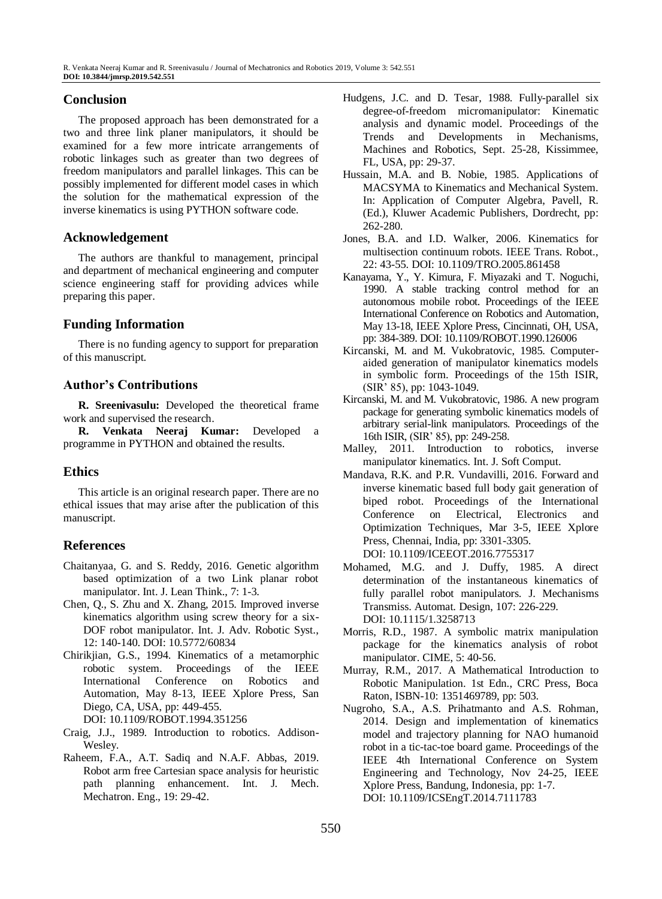# **Conclusion**

The proposed approach has been demonstrated for a two and three link planer manipulators, it should be examined for a few more intricate arrangements of robotic linkages such as greater than two degrees of freedom manipulators and parallel linkages. This can be possibly implemented for different model cases in which the solution for the mathematical expression of the inverse kinematics is using PYTHON software code.

# **Acknowledgement**

The authors are thankful to management, principal and department of mechanical engineering and computer science engineering staff for providing advices while preparing this paper.

# **Funding Information**

There is no funding agency to support for preparation of this manuscript.

# **Author's Contributions**

**R. Sreenivasulu:** Developed the theoretical frame work and supervised the research.

**R. Venkata Neeraj Kumar:** Developed a programme in PYTHON and obtained the results.

# **Ethics**

This article is an original research paper. There are no ethical issues that may arise after the publication of this manuscript.

# **References**

- Chaitanyaa, G. and S. Reddy, 2016. Genetic algorithm based optimization of a two Link planar robot manipulator. Int. J. Lean Think., 7: 1-3.
- Chen, Q., S. Zhu and X. Zhang, 2015. Improved inverse kinematics algorithm using screw theory for a six-DOF robot manipulator. Int. J. Adv. Robotic Syst., 12: 140-140. DOI: 10.5772/60834
- Chirikjian, G.S., 1994. Kinematics of a metamorphic robotic system. Proceedings of the IEEE International Conference on Robotics and Automation, May 8-13, IEEE Xplore Press, San Diego, CA, USA, pp: 449-455. DOI: 10.1109/ROBOT.1994.351256
- Craig, J.J., 1989. Introduction to robotics. Addison-Wesley.
- Raheem, F.A., A.T. Sadiq and N.A.F. Abbas, 2019. Robot arm free Cartesian space analysis for heuristic path planning enhancement. Int. J. Mech. Mechatron. Eng., 19: 29-42.
- Hudgens, J.C. and D. Tesar, 1988. Fully-parallel six degree-of-freedom micromanipulator: Kinematic analysis and dynamic model. Proceedings of the Trends and Developments in Mechanisms, Machines and Robotics, Sept. 25-28, Kissimmee, FL, USA, pp: 29-37.
- Hussain, M.A. and B. Nobie, 1985. Applications of MACSYMA to Kinematics and Mechanical System. In: Application of Computer Algebra, Pavell, R. (Ed.), Kluwer Academic Publishers, Dordrecht, pp: 262-280.
- Jones, B.A. and I.D. Walker, 2006. Kinematics for multisection continuum robots. IEEE Trans. Robot., 22: 43-55. DOI: 10.1109/TRO.2005.861458
- Kanayama, Y., Y. Kimura, F. Miyazaki and T. Noguchi, 1990. A stable tracking control method for an autonomous mobile robot. Proceedings of the IEEE International Conference on Robotics and Automation, May 13-18, IEEE Xplore Press, Cincinnati, OH, USA, pp: 384-389. DOI: 10.1109/ROBOT.1990.126006
- Kircanski, M. and M. Vukobratovic, 1985. Computeraided generation of manipulator kinematics models in symbolic form. Proceedings of the 15th ISIR, (SIR' 85), pp: 1043-1049.
- Kircanski, M. and M. Vukobratovic, 1986. A new program package for generating symbolic kinematics models of arbitrary serial-link manipulators. Proceedings of the 16th ISIR, (SIR' 85), pp: 249-258.
- Malley, 2011. Introduction to robotics, inverse manipulator kinematics. Int. J. Soft Comput.
- Mandava, R.K. and P.R. Vundavilli, 2016. Forward and inverse kinematic based full body gait generation of biped robot. Proceedings of the International Conference on Electrical, Electronics and Optimization Techniques, Mar 3-5, IEEE Xplore Press, Chennai, India, pp: 3301-3305. DOI: 10.1109/ICEEOT.2016.7755317
- Mohamed, M.G. and J. Duffy, 1985. A direct determination of the instantaneous kinematics of fully parallel robot manipulators. J. Mechanisms Transmiss. Automat. Design, 107: 226-229. DOI: 10.1115/1.3258713
- Morris, R.D., 1987. A symbolic matrix manipulation package for the kinematics analysis of robot manipulator. CIME, 5: 40-56.
- Murray, R.M., 2017. A Mathematical Introduction to Robotic Manipulation. 1st Edn., CRC Press, Boca Raton, ISBN-10: 1351469789, pp: 503.
- Nugroho, S.A., A.S. Prihatmanto and A.S. Rohman, 2014. Design and implementation of kinematics model and trajectory planning for NAO humanoid robot in a tic-tac-toe board game. Proceedings of the IEEE 4th International Conference on System Engineering and Technology, Nov 24-25, IEEE Xplore Press, Bandung, Indonesia, pp: 1-7. DOI: 10.1109/ICSEngT.2014.7111783